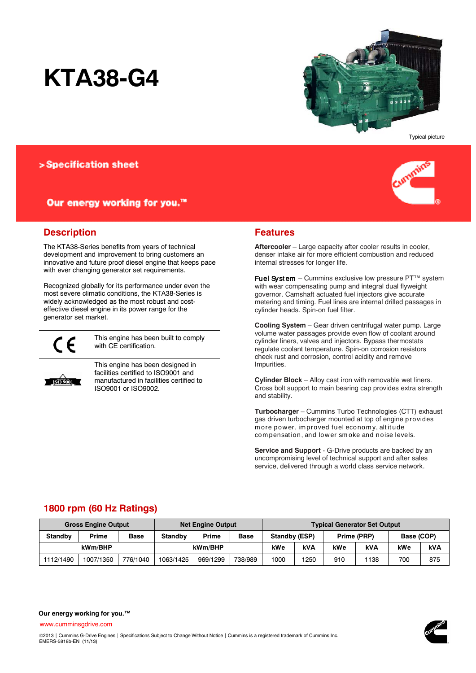# **KTA38-G4**



Typical picture

# > Specification sheet

# Our energy working for you.™



# **Description**

The KTA38-Series benefits from years of technical development and improvement to bring customers an innovative and future proof diesel engine that keeps pace with ever changing generator set requirements.

Recognized globally for its performance under even the most severe climatic conditions, the KTA38-Series is widely acknowledged as the most robust and costeffective diesel engine in its power range for the generator set market.



This engine has been built to comply with CE certification.



This engine has been designed in facilities certified to ISO9001 and manufactured in facilities certified to ISO9001 or ISO9002.

# **Features**

**Aftercooler** – Large capacity after cooler results in cooler, denser intake air for more efficient combustion and reduced internal stresses for longer life.

Fuel System – Cummins exclusive low pressure PT™ system with wear compensating pump and integral dual flyweight governor. Camshaft actuated fuel injectors give accurate metering and timing. Fuel lines are internal drilled passages in cylinder heads. Spin-on fuel filter.

**Cooling System** – Gear driven centrifugal water pump. Large volume water passages provide even flow of coolant around cylinder liners, valves and injectors. Bypass thermostats regulate coolant temperature. Spin-on corrosion resistors check rust and corrosion, control acidity and remove Impurities.

**Cylinder Block** – Alloy cast iron with removable wet liners. Cross bolt support to main bearing cap provides extra strength and stability.

**Turbocharger** – Cummins Turbo Technologies (CTT) exhaust gas driven turbocharger mounted at top of engine provides m ore pow er, im proved fuel econom y, alt it ude com pensat ion, and low er sm oke and noise levels.

**Service and Support** - G-Drive products are backed by an uncompromising level of technical support and after sales service, delivered through a world class service network.

# **1800 rpm (60 Hz Ratings)**

| <b>Gross Engine Output</b> |              |             | <b>Net Engine Output</b> |              |             | <b>Typical Generator Set Output</b> |            |             |            |            |     |
|----------------------------|--------------|-------------|--------------------------|--------------|-------------|-------------------------------------|------------|-------------|------------|------------|-----|
| <b>Standby</b>             | <b>Prime</b> | <b>Base</b> | Standby                  | <b>Prime</b> | <b>Base</b> | Standby (ESP)                       |            | Prime (PRP) |            | Base (COP) |     |
| kWm/BHP                    |              | kWm/BHP     |                          | kWe          | kVA         | kWe                                 | <b>kVA</b> | kWe         | <b>kVA</b> |            |     |
| 1112/1490                  | 1007/1350    | 776/1040    | 1063/1425                | 969/1299     | 738/989     | 1000                                | 1250       | 910         | 1138       | 700        | 875 |

[www.cumminsgdrive.com](http://www.cumminsgdrive.com/)